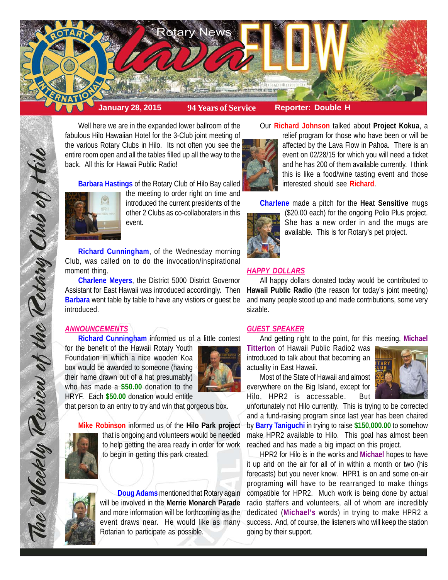

Well here we are in the expanded lower ballroom of the fabulous Hilo Hawaiian Hotel for the 3-Club joint meeting of the various Rotary Clubs in Hilo. Its not often you see the entire room open and all the tables filled up all the way to the back. All this for Hawaii Public Radio!

**Barbara Hastings** of the Rotary Club of Hilo Bay called



the meeting to order right on time and introduced the current presidents of the other 2 Clubs as co-collaboraters in this event.

**Richard Cunningham**, of the Wednesday morning Club, was called on to do the invocation/inspirational moment thing.

**Charlene Meyers**, the District 5000 District Governor Assistant for East Hawaii was introduced accordingly. Then **Barbara** went table by table to have any vistiors or guest be introduced.

## *ANNOUNCEMENTS*

The Weekly Teview of the Tetary Club of Hilo

**Richard Cunningham** informed us of a little contest

for the benefit of the Hawaii Rotary Youth Foundation in which a nice wooden Koa box would be awarded to someone (having their name drawn out of a hat presumably) who has made a **\$50.00** donation to the HRYF. Each **\$50.00** donation would entitle



that person to an entry to try and win that gorgeous box.



**Mike Robinson** informed us of the **Hilo Park project** that is ongoing and volunteers would be needed to help getting the area ready in order for work to begin in getting this park created.



**Doug Adams** mentioned that Rotary again will be involved in the **Merrie Monarch Parade** and more information will be forthcoming as the event draws near. He would like as many Rotarian to participate as possible.

Our **Richard Johnson** talked about **Project Kokua**, a relief program for those who have been or will be affected by the Lava Flow in Pahoa. There is an event on 02/28/15 for which you will need a ticket

and he has 200 of them available currently. I think this is like a food/wine tasting event and those interested should see **Richard**.

**Charlene** made a pitch for the **Heat Sensitive** mugs



(\$20.00 each) for the ongoing Polio Plus project. She has a new order in and the mugs are available. This is for Rotary's pet project.

## *HAPPY DOLLARS*

All happy dollars donated today would be contributed to **Hawaii Public Radio** (the reason for today's joint meeting) and many people stood up and made contributions, some very sizable.

## *GUEST SPEAKER*

And getting right to the point, for this meeting, **Michael**

**Titterton** of Hawaii Public Radio2 was introduced to talk about that becoming an actuality in East Hawaii.

Most of the State of Hawaii and almost everywhere on the Big Island, except for Hilo, HPR2 is accessable. But



unfortunately not Hilo currently. This is trying to be corrected and a fund-raising program since last year has been chaired by **Barry Taniguchi** in trying to raise **\$150,000.00** to somehow make HPR2 available to Hilo. This goal has almost been reached and has made a big impact on this project.

HPR2 for Hilo is in the works and **Michael** hopes to have it up and on the air for all of in within a month or two (his forecasts) but you never know. HPR1 is on and some on-air programing will have to be rearranged to make things compatible for HPR2. Much work is being done by actual radio staffers and volunteers, all of whom are incredibly dedicated (**Michael's** words) in trying to make HPR2 a success. And, of course, the listeners who will keep the station going by their support.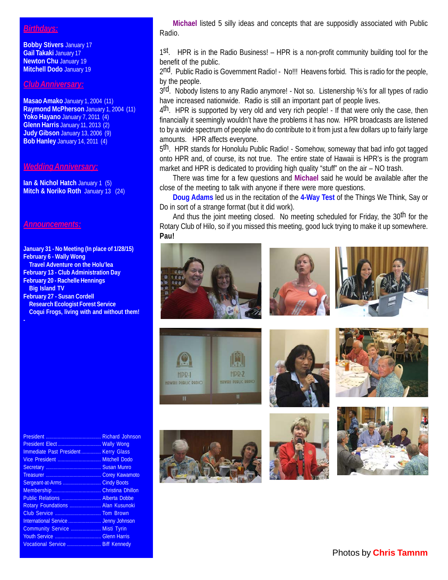## *Birthdays:*

**Bobby Stivers** January 17 **Gail Takaki** January 17 **Newton Chu** January 19 **Mitchell Dodo** January 19

#### *Club Anniversary:*

**Masao Amako** January 1, 2004 (11) **Raymond McPherson** January 1, 2004 (11) **Yoko Hayano** January 7, 2011 (4) **Glenn Harris** January 11, 2013 (2) **Judy Gibson** January 13, 2006 (9) **Bob Hanley** January 14, 2011 (4)

#### *Wedding Anniversary:*

**Ian & Nichol Hatch** January 1 (5) **Mitch & Noriko Roth** January 13 (24)

#### *Announcements:*

**January 31 - No Meeting (In place of 1/28/15) February 6 - Wally Wong Travel Adventure on the Holu'lea February 13 - Club Administration Day February 20 - Rachelle Hennings Big Island TV February 27 - Susan Cordell**

**Research Ecologist Forest Service Coqui Frogs, living with and without them!**

**Michael** listed 5 silly ideas and concepts that are supposidly associated with Public Radio.

1st. HPR is in the Radio Business! – HPR is a non-profit community building tool for the benefit of the public.

2nd. Public Radio is Government Radio! - No!!! Heavens forbid. This is radio for the people, by the people.

3<sup>rd</sup>. Nobody listens to any Radio anymore! - Not so. Listenership %'s for all types of radio have increased nationwide. Radio is still an important part of people lives.

 $4<sup>th</sup>$ . HPR is supported by very old and very rich people! - If that were only the case, then financially it seemingly wouldn't have the problems it has now. HPR broadcasts are listened to by a wide spectrum of people who do contribute to it from just a few dollars up to fairly large amounts. HPR affects everyone.

5th. HPR stands for Honolulu Public Radio! - Somehow, someway that bad info got tagged onto HPR and, of course, its not true. The entire state of Hawaii is HPR's is the program market and HPR is dedicated to providing high quality "stuff" on the air – NO trash.

There was time for a few questions and **Michael** said he would be available after the close of the meeting to talk with anyone if there were more questions.

**Doug Adams** led us in the recitation of the **4-Way Test** of the Things We Think, Say or Do in sort of a strange format (but it did work).

And thus the joint meeting closed. No meeting scheduled for Friday, the 30<sup>th</sup> for the Rotary Club of Hilo, so if you missed this meeting, good luck trying to make it up somewhere. **Pau!**















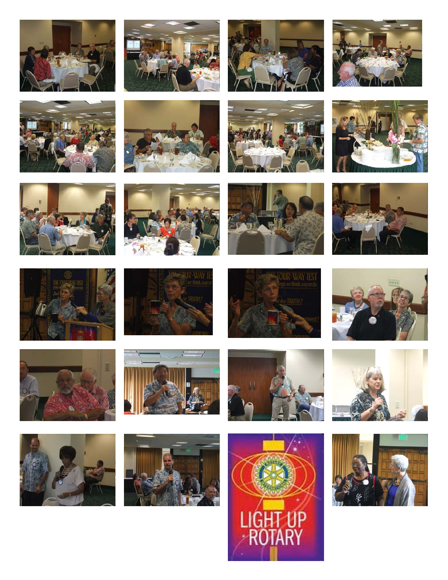